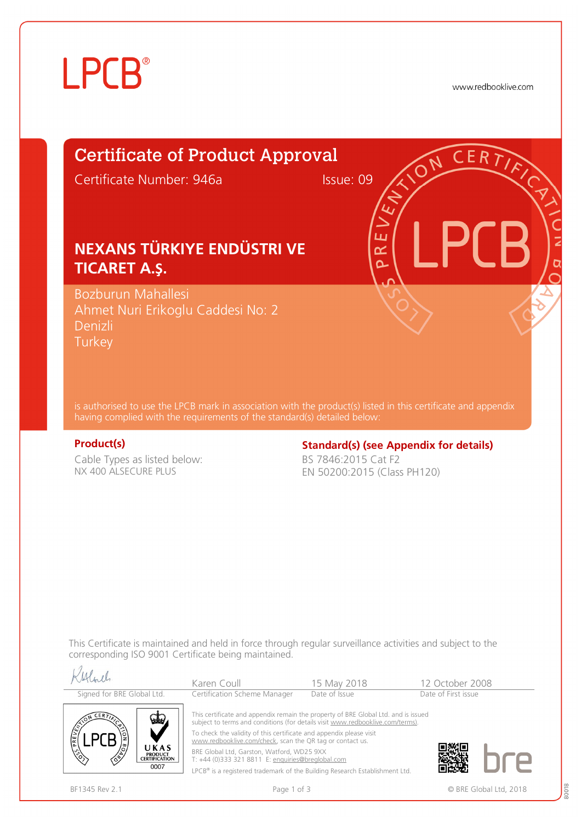# **LPCB**®

www.redbooklive.com

# Certificate of Product Approval

Certificate Number: 946a Issue: 09

ய œ  $\overline{\mathbf{C}}$ 

## **NEXANS TÜRKIYE ENDÜSTRI VE TICARET A.Ş.**

Bozburun Mahallesi Ahmet Nuri Erikoglu Caddesi No: 2 Denizli **Turkey** 

is authorised to use the LPCB mark in association with the product(s) listed in this certificate and appendix having complied with the requirements of the standard(s) detailed below:

Cable Types as listed below: NX 400 ALSECURE PLUS

#### **Product(s) Constrained Broadcard(s) (see Appendix for details) Standard(s) (see Appendix for details)**

BS 7846:2015 Cat F2 EN 50200:2015 (Class PH120)

This Certificate is maintained and held in force through regular surveillance activities and subject to the corresponding ISO 9001 Certificate being maintained.

| Signed for BRE Global Ltd.                                                           | Karen Coull                                                                                                                                                                                                                                                                                                                                                                                                                                                                                | 15 May 2018   | 12 October 2008     |
|--------------------------------------------------------------------------------------|--------------------------------------------------------------------------------------------------------------------------------------------------------------------------------------------------------------------------------------------------------------------------------------------------------------------------------------------------------------------------------------------------------------------------------------------------------------------------------------------|---------------|---------------------|
|                                                                                      | Certification Scheme Manager                                                                                                                                                                                                                                                                                                                                                                                                                                                               | Date of Issue | Date of First issue |
| $CER$ $\overline{Y}$<br>UKAS<br><b>PRODUCT</b><br>∕È<br><b>CERTIFICATION</b><br>0007 | This certificate and appendix remain the property of BRE Global Ltd. and is issued<br>subject to terms and conditions (for details visit www.redbooklive.com/terms).<br>To check the validity of this certificate and appendix please visit<br>www.redbooklive.com/check, scan the QR tag or contact us.<br>BRE Global Ltd, Garston, Watford, WD25 9XX<br>T: +44 (0)333 321 8811 E: enquiries@breglobal.com<br>LPCB® is a registered trademark of the Building Research Establishment Ltd. |               |                     |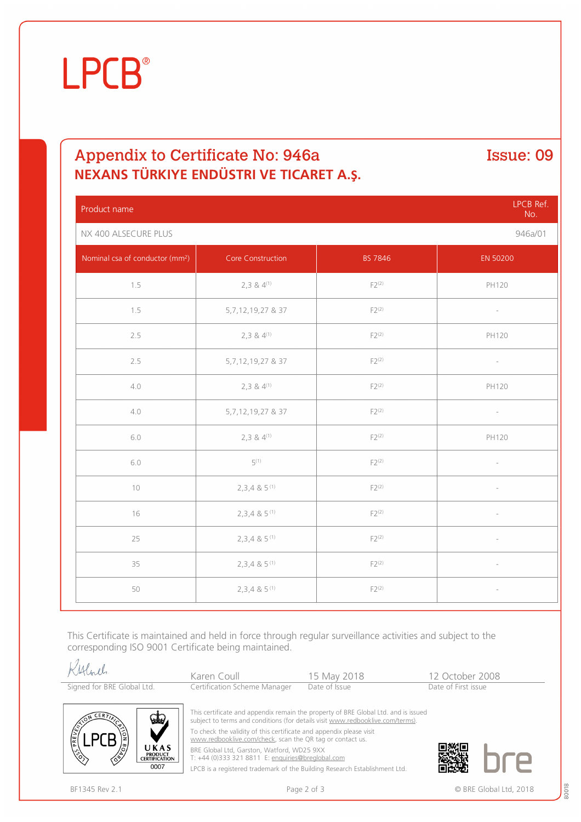# **LPCB**®

### Appendix to Certificate No: 946a Issue: 09 **NEXANS TÜRKIYE ENDÜSTRI VE TICARET A.Ş.**

Product name LPCB Ref. No. NX 400 ALSECURE PLUS 946a/01 Nominal csa of conductor (mm<sup>2</sup> example of the Construction and EN 50200 EN 50200 1.5 2,3 &  $4^{(1)}$  F2(2) F2(2) PH120 1.5 5,7,12,19,27 & 37 F2<sup>(2)</sup> 2.5 2.5 2.3 & 4<sup>(1)</sup> 2.3 A<sup>(1)</sup> F2<sup>(2)</sup> F2<sup>(2)</sup> PH120 2.5 5,7,12,19,27 & 37 F2<sup>(2)</sup> 5,7,12,19,27 & 37 F2<sup>(2)</sup> 4.0 2,3 & 4<sup>(1)</sup> 2,3 and  $F2^{(2)}$  F2<sup>(2)</sup> PH120 4.0  $5.7.12.19.27 \& 37$   $F2^{(2)}$ 6.0 2,3 & 4<sup>(1)</sup> 2,3 and  $F2^{(2)}$  F2<sup>(2)</sup> PH120 6.0 5 (1)  $F2^{(2)}$   $-$ 10  $2,3,4 \& 5^{(1)}$  F2<sup>(2)</sup> F2<sup>(2)</sup> 16 2,3,4 & 5<sup>(1)</sup> F2<sup>(2)</sup> F2<sup>(2)</sup> -25 2,3,4 & 5<sup>(1)</sup>  $\sqrt{25}$  F2<sup>(2)</sup> 35 2,3,4 & 5<sup>(1)</sup> F2<sup>(2)</sup> F2<sup>(2)</sup> -50 2,3,4 & 5<sup>(1)</sup> F2<sup>(2)</sup> F2<sup>(2)</sup> -

This Certificate is maintained and held in force through regular surveillance activities and subject to the corresponding ISO 9001 Certificate being maintained.

| Kylorel                    | Karen Coull                  | 15 May 2018   | 12 October 2008     |
|----------------------------|------------------------------|---------------|---------------------|
| Signed for BRE Global Ltd. | Certification Scheme Manager | Date of Issue | Date of First issue |



This certificate and appendix remain the property of BRE Global Ltd. and is issued subject to terms and conditions (for details visit [www.redbooklive.com/terms\).](http://www.redbooklive.com/terms)) To check the validity of this certificate and appendix please visit [www.redbooklive.com/check,](http://www.redbooklive.com/check) scan the QR tag or contact us. BRE Global Ltd, Garston, Watford, WD25 9XX

T: +44 (0)333 321 8811 E: [enquiries@breglobal.com](mailto:enquiries@breglobal.com)

LPCB is a registered trademark of the Building Research Establishment Ltd.